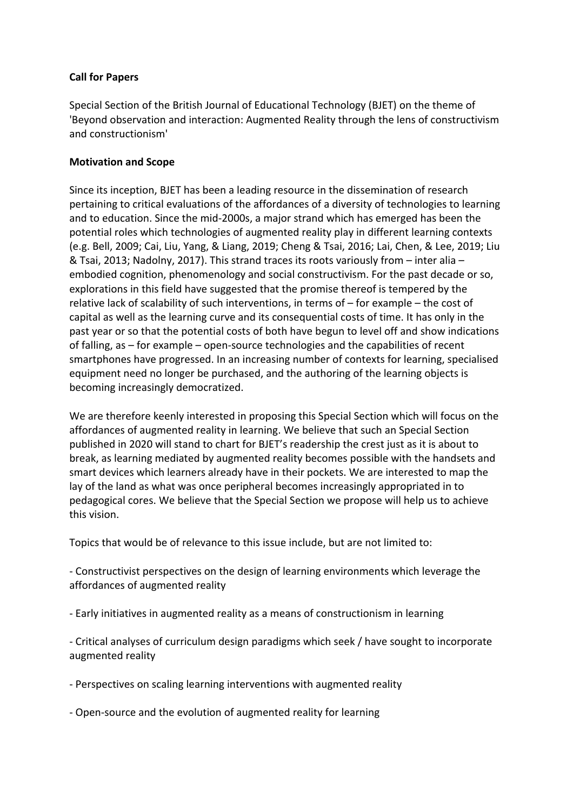## **Call for Papers**

Special Section of the British Journal of Educational Technology (BJET) on the theme of 'Beyond observation and interaction: Augmented Reality through the lens of constructivism and constructionism'

## **Motivation and Scope**

Since its inception, BJET has been a leading resource in the dissemination of research pertaining to critical evaluations of the affordances of a diversity of technologies to learning and to education. Since the mid-2000s, a major strand which has emerged has been the potential roles which technologies of augmented reality play in different learning contexts (e.g. Bell, 2009; Cai, Liu, Yang, & Liang, 2019; Cheng & Tsai, 2016; Lai, Chen, & Lee, 2019; Liu & Tsai, 2013; Nadolny, 2017). This strand traces its roots variously from – inter alia – embodied cognition, phenomenology and social constructivism. For the past decade or so, explorations in this field have suggested that the promise thereof is tempered by the relative lack of scalability of such interventions, in terms of – for example – the cost of capital as well as the learning curve and its consequential costs of time. It has only in the past year or so that the potential costs of both have begun to level off and show indications of falling, as – for example – open-source technologies and the capabilities of recent smartphones have progressed. In an increasing number of contexts for learning, specialised equipment need no longer be purchased, and the authoring of the learning objects is becoming increasingly democratized.

We are therefore keenly interested in proposing this Special Section which will focus on the affordances of augmented reality in learning. We believe that such an Special Section published in 2020 will stand to chart for BJET's readership the crest just as it is about to break, as learning mediated by augmented reality becomes possible with the handsets and smart devices which learners already have in their pockets. We are interested to map the lay of the land as what was once peripheral becomes increasingly appropriated in to pedagogical cores. We believe that the Special Section we propose will help us to achieve this vision.

Topics that would be of relevance to this issue include, but are not limited to:

- Constructivist perspectives on the design of learning environments which leverage the affordances of augmented reality

- Early initiatives in augmented reality as a means of constructionism in learning

- Critical analyses of curriculum design paradigms which seek / have sought to incorporate augmented reality

- Perspectives on scaling learning interventions with augmented reality

- Open-source and the evolution of augmented reality for learning